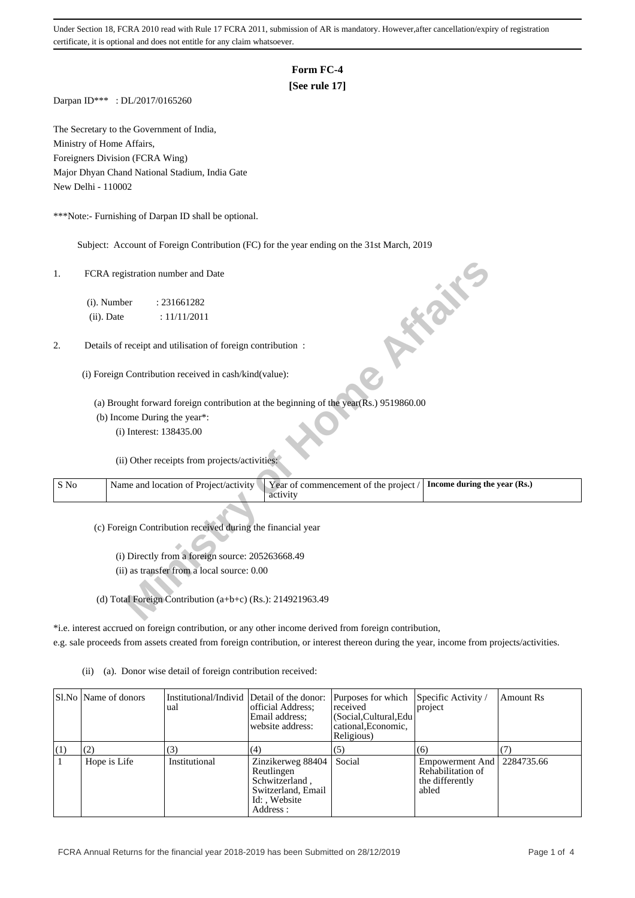Under Section 18, FCRA 2010 read with Rule 17 FCRA 2011, submission of AR is mandatory. However,after cancellation/expiry of registration certificate, it is optional and does not entitle for any claim whatsoever.

## **Form FC-4**

## **[See rule 17]**

Darpan ID\*\*\* : DL/2017/0165260

The Secretary to the Government of India, Ministry of Home Affairs, Foreigners Division (FCRA Wing) Major Dhyan Chand National Stadium, India Gate New Delhi - 110002

\*\*\*Note:- Furnishing of Darpan ID shall be optional.

Subject: Account of Foreign Contribution (FC) for the year ending on the 31st March, 2019

## 2. Details of receipt and utilisation of foreign contribution :

| 1.   | FCRA registration number and Date                                                                                          |
|------|----------------------------------------------------------------------------------------------------------------------------|
|      | (i). Number<br>: 231661282                                                                                                 |
|      | <b>10 % %</b><br>(ii). Date<br>: 11/11/2011                                                                                |
| 2.   | Details of receipt and utilisation of foreign contribution :                                                               |
|      | (i) Foreign Contribution received in cash/kind(value):                                                                     |
|      | (a) Brought forward foreign contribution at the beginning of the year(Rs.) 9519860.00                                      |
|      | (b) Income During the year*:                                                                                               |
|      | (i) Interest: 138435.00                                                                                                    |
|      | (ii) Other receipts from projects/activities:                                                                              |
| S No | Year of commencement of the project /<br>Name and location of Project/activity<br>Income during the year (Rs.)<br>activity |
|      | (c) Foreign Contribution received during the financial year                                                                |
|      | (i) Directly from a foreign source: 205263668.49                                                                           |
|      | (ii) as transfer from a local source: 0.00                                                                                 |
|      |                                                                                                                            |
|      | (d) Total Foreign Contribution (a+b+c) (Rs.): 214921963.49                                                                 |

\*i.e. interest accrued on foreign contribution, or any other income derived from foreign contribution,

e.g. sale proceeds from assets created from foreign contribution, or interest thereon during the year, income from projects/activities.

(ii) (a). Donor wise detail of foreign contribution received:

|     | SI.No   Name of donors | Institutional/Individ Detail of the donor:<br>ual | official Address:<br>Email address:<br>website address:                                              | Purposes for which<br>received<br>(Social, Cultural, Edu<br>cational, Economic,<br>Religious) | Specific Activity /<br>project                                   | Amount Rs  |
|-----|------------------------|---------------------------------------------------|------------------------------------------------------------------------------------------------------|-----------------------------------------------------------------------------------------------|------------------------------------------------------------------|------------|
| (1) | (2)                    | (3)                                               | (4)                                                                                                  | (5)                                                                                           | (6)                                                              |            |
|     | Hope is Life           | Institutional                                     | Zinzikerweg 88404<br>Reutlingen<br>Schwitzerland,<br>Switzerland, Email<br>Id:, Website<br>Address : | Social                                                                                        | Empowerment And<br>Rehabilitation of<br>the differently<br>abled | 2284735.66 |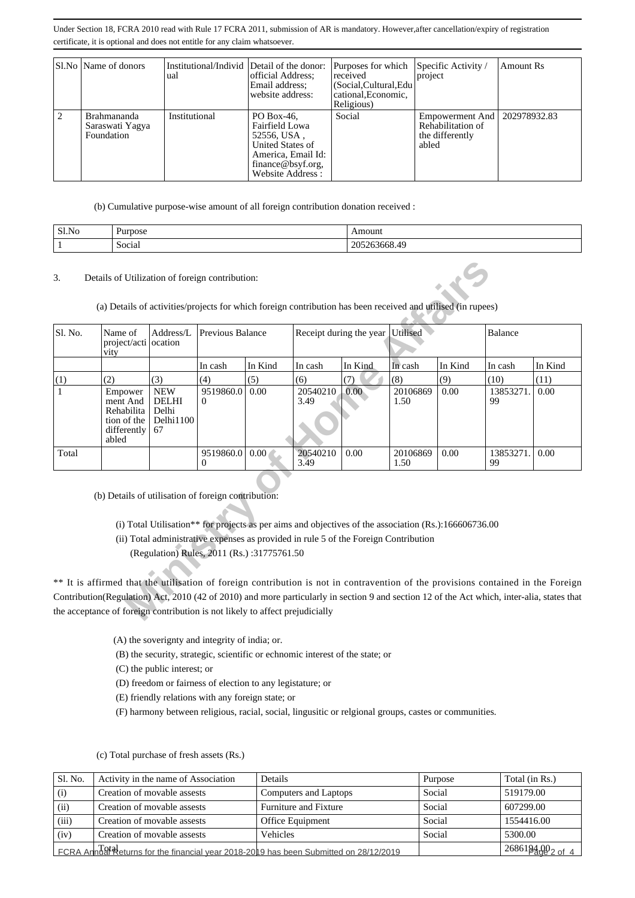Under Section 18, FCRA 2010 read with Rule 17 FCRA 2011, submission of AR is mandatory. However,after cancellation/expiry of registration certificate, it is optional and does not entitle for any claim whatsoever.

|   | Sl.No   Name of donors                              | Institutional/Individ Detail of the donor:<br>ual | official Address;<br>Email address:                                                                                            | Purposes for which<br>received<br>(Social, Cultural, Edu | Specific Activity /<br>project                                   | Amount Rs    |
|---|-----------------------------------------------------|---------------------------------------------------|--------------------------------------------------------------------------------------------------------------------------------|----------------------------------------------------------|------------------------------------------------------------------|--------------|
|   |                                                     |                                                   | website address:                                                                                                               | cational, Economic,<br>Religious)                        |                                                                  |              |
| 2 | <b>Brahmananda</b><br>Saraswati Yagya<br>Foundation | Institutional                                     | PO Box-46.<br>Fairfield Lowa<br>52556, USA,<br>United States of<br>America, Email Id:<br>finance@bsyf.org,<br>Website Address: | Social                                                   | Empowerment And<br>Rehabilitation of<br>the differently<br>abled | 202978932.83 |

(b) Cumulative purpose-wise amount of all foreign contribution donation received :

| Sl.No | Purpose | Amount                                         |
|-------|---------|------------------------------------------------|
|       | Social  | $\overline{A}$<br>ኅሰ.<br>71 V<br>263668.4<br>້ |

| 3.      | Details of Utilization of foreign contribution:                                                                                             |                                                                                                                                                                                               |                         |         |                  |                         |                  |         |                 |         |
|---------|---------------------------------------------------------------------------------------------------------------------------------------------|-----------------------------------------------------------------------------------------------------------------------------------------------------------------------------------------------|-------------------------|---------|------------------|-------------------------|------------------|---------|-----------------|---------|
|         | (a) Details of activities/projects for which foreign contribution has been received and utilised (in rupees)                                |                                                                                                                                                                                               |                         |         |                  |                         |                  |         |                 |         |
| Sl. No. | Name of<br>project/acti ocation<br>vity                                                                                                     | Address/L                                                                                                                                                                                     | <b>Previous Balance</b> |         |                  | Receipt during the year | <b>Utilised</b>  |         | Balance         |         |
|         |                                                                                                                                             |                                                                                                                                                                                               | In cash                 | In Kind | In cash          | In Kind                 | In cash          | In Kind | In cash         | In Kind |
| (1)     | (2)                                                                                                                                         | (3)                                                                                                                                                                                           | (4)                     | (5)     | (6)              | (7)                     | (8)              | (9)     | (10)            | (11)    |
|         | Empower<br>ment And<br>Rehabilita<br>tion of the<br>differently<br>abled                                                                    | <b>NEW</b><br><b>DELHI</b><br>Delhi<br>Delhi1100<br>67                                                                                                                                        | 9519860.0<br>0          | 0.00    | 20540210<br>3.49 | $0.00^{\circ}$          | 20106869<br>1.50 | 0.00    | 13853271<br>99  | 0.00    |
| Total   |                                                                                                                                             |                                                                                                                                                                                               | 9519860.0<br>0          | 0.00    | 20540210<br>3.49 | 0.00                    | 20106869<br>1.50 | 0.00    | 13853271.<br>99 | 0.00    |
|         | (b) Details of utilisation of foreign contribution:                                                                                         |                                                                                                                                                                                               |                         |         |                  |                         |                  |         |                 |         |
|         |                                                                                                                                             | (i) Total Utilisation** for projects as per aims and objectives of the association (Rs.):166606736.00<br>(ii) Total administrative expenses as provided in rule 5 of the Foreign Contribution |                         |         |                  |                         |                  |         |                 |         |
|         |                                                                                                                                             | (Regulation) Rules, 2011 (Rs.):31775761.50                                                                                                                                                    |                         |         |                  |                         |                  |         |                 |         |
|         | ** It is affirmed that the utilisation of foreign contribution is not in contravention of the provisions contained in the Foreign           |                                                                                                                                                                                               |                         |         |                  |                         |                  |         |                 |         |
|         | Contribution(Regulation) Act, 2010 (42 of 2010) and more particularly in section 9 and section 12 of the Act which, inter-alia, states that |                                                                                                                                                                                               |                         |         |                  |                         |                  |         |                 |         |
|         | the acceptance of foreign contribution is not likely to affect prejudicially                                                                |                                                                                                                                                                                               |                         |         |                  |                         |                  |         |                 |         |

(A) the soverignty and integrity of india; or.

(B) the security, strategic, scientific or echnomic interest of the state; or

(C) the public interest; or

(D) freedom or fairness of election to any legistature; or

(E) friendly relations with any foreign state; or

(F) harmony between religious, racial, social, lingusitic or relgional groups, castes or communities.

| Sl. No. | Activity in the name of Association                                                   | Details               | Purpose | Total (in Rs.)    |
|---------|---------------------------------------------------------------------------------------|-----------------------|---------|-------------------|
| (i)     | Creation of movable assests                                                           | Computers and Laptops | Social  | 519179.00         |
| (ii)    | Creation of movable assests                                                           | Furniture and Fixture | Social  | 607299.00         |
| (iii)   | Creation of movable assests                                                           | Office Equipment      | Social  | 1554416.00        |
| (iv)    | Creation of movable assests                                                           | Vehicles              | Social  | 5300.00           |
|         | FCRA AnnUal Returns for the financial year 2018-2019 has been Submitted on 28/12/2019 |                       |         | $2686194002$ of 4 |

(c) Total purchase of fresh assets (Rs.)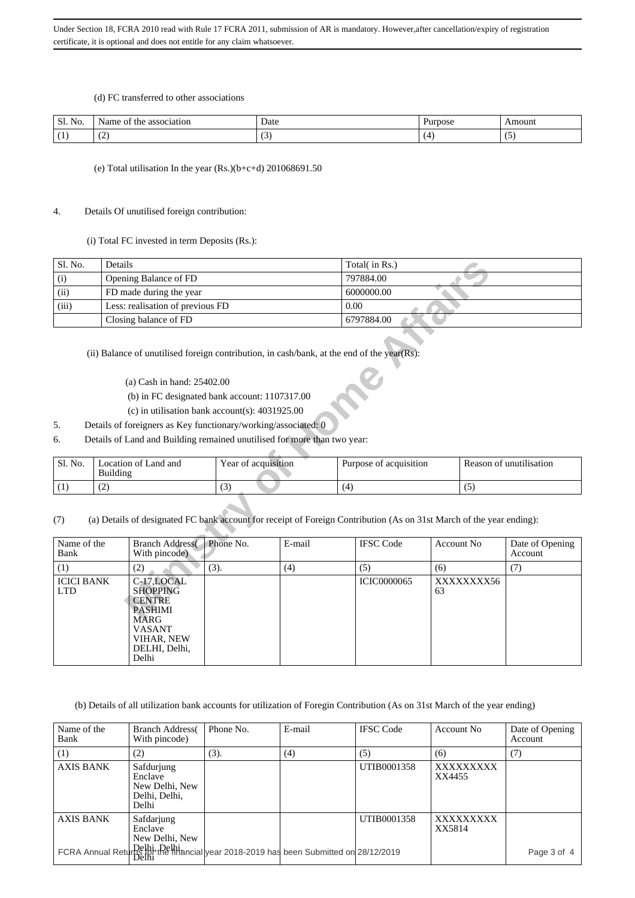(d) FC transferred to other associations

| Sl.<br>NO. | . Nar<br>0000<br>the<br>:1at10n<br>$\sim$<br>$^{\rm O}$<br>не | Date | ™OS∪ | 2222222<br>m<br>DШ |
|------------|---------------------------------------------------------------|------|------|--------------------|
| . .        | $\tilde{\phantom{a}}$<br>ື                                    |      |      | ີ                  |

(e) Total utilisation In the year (Rs.)(b+c+d) 201068691.50

## 4. Details Of unutilised foreign contribution:

(i) Total FC invested in term Deposits (Rs.):

| Sl. No. | Details                          | Total( in Rs.) |
|---------|----------------------------------|----------------|
| (i)     | Opening Balance of FD            | 797884.00      |
| (ii)    | FD made during the year          | 6000000.00     |
| (iii)   | Less: realisation of previous FD | 0.00           |
|         | Closing balance of FD            | 6797884.00     |

- (a) Cash in hand: 25402.00
- (b) in FC designated bank account: 1107317.00
- (c) in utilisation bank account(s): 4031925.00
- 5. Details of foreigners as Key functionary/working/associated: 0
- 6. Details of Land and Building remained unutilised for more than two year:

| Sl. No. | ocation of Land and<br>Building | Year of acquisition | Purpose of acquisition | Reason of unutilisation |
|---------|---------------------------------|---------------------|------------------------|-------------------------|
|         | ∼                               | v                   |                        |                         |

| Sl. No.                         | Details                                                                                                                                       |                     |        | Total( in Rs.)         |            |                         |                 |
|---------------------------------|-----------------------------------------------------------------------------------------------------------------------------------------------|---------------------|--------|------------------------|------------|-------------------------|-----------------|
| (i)                             | Opening Balance of FD                                                                                                                         |                     |        | 797884.00              |            |                         |                 |
| (ii)                            | FD made during the year                                                                                                                       |                     |        | 6000000.00             |            |                         |                 |
| (iii)                           | Less: realisation of previous FD                                                                                                              |                     |        | 0.00                   |            |                         |                 |
|                                 | Closing balance of FD                                                                                                                         |                     |        | 6797884.00             |            |                         |                 |
|                                 | (ii) Balance of unutilised foreign contribution, in cash/bank, at the end of the year(Rs):                                                    |                     |        |                        |            |                         |                 |
|                                 | (a) Cash in hand: 25402.00                                                                                                                    |                     |        |                        |            |                         |                 |
|                                 | (b) in FC designated bank account: 1107317.00                                                                                                 |                     |        |                        |            |                         |                 |
|                                 | (c) in utilisation bank account(s): $4031925.00$                                                                                              |                     |        |                        |            |                         |                 |
| 5.                              | Details of foreigners as Key functionary/working/associated: 0                                                                                |                     |        |                        |            |                         |                 |
| 6.                              | Details of Land and Building remained unutilised for more than two year:                                                                      |                     |        |                        |            |                         |                 |
| Sl. No.                         | Location of Land and<br><b>Building</b>                                                                                                       | Year of acquisition |        | Purpose of acquisition |            | Reason of unutilisation |                 |
| (1)                             | (2)                                                                                                                                           | (3)                 |        | (4)                    |            | (5)                     |                 |
| (7)<br>Name of the              | (a) Details of designated FC bank account for receipt of Foreign Contribution (As on 31st March of the year ending):<br><b>Branch Address</b> | Phone No.           | E-mail | <b>IFSC</b> Code       | Account No |                         | Date of Opening |
| Bank                            | With pincode)                                                                                                                                 |                     |        |                        |            |                         | Account         |
| (1)                             | (2)                                                                                                                                           | (3).                | (4)    | (5)                    | (6)        |                         | (7)             |
| <b>ICICI BANK</b><br><b>LTD</b> | C-17,LOCAL<br><b>SHOPPING</b><br><b>CENTRE</b><br><b>PASHIMI</b><br><b>MARG</b><br><b>VASANT</b><br>VIHAR, NEW<br>DELHI, Delhi,<br>Delhi      |                     |        | <b>ICIC0000065</b>     | 63         | XXXXXXXX56              |                 |

(b) Details of all utilization bank accounts for utilization of Foregin Contribution (As on 31st March of the year ending)

| Name of the<br>Bank | <b>Branch Address</b><br>With pincode)                            | Phone No.                                  | E-mail | <b>IFSC</b> Code | Account No.         | Date of Opening<br>Account |
|---------------------|-------------------------------------------------------------------|--------------------------------------------|--------|------------------|---------------------|----------------------------|
| (1)                 | (2)                                                               | (3).                                       | (4)    | (5)              | (6)                 | (7)                        |
| <b>AXIS BANK</b>    | Safdurjung<br>Enclave<br>New Delhi, New<br>Delhi, Delhi,<br>Delhi |                                            |        | UTIB0001358      | XXXXXXXXX<br>XX4455 |                            |
| <b>AXIS BANK</b>    | Safdarjung<br>Enclave<br>New Delhi, New                           |                                            |        | UTIB0001358      | XXXXXXXXX<br>XX5814 |                            |
|                     |                                                                   | FCRA Annual Return Pelhi<br>Pelhi<br>Delhi |        |                  |                     | Page 3 of 4                |